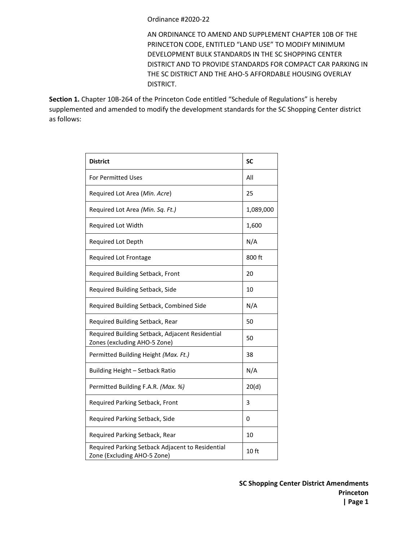## Ordinance #2020-22

AN ORDINANCE TO AMEND AND SUPPLEMENT CHAPTER 10B OF THE PRINCETON CODE, ENTITLED "LAND USE" TO MODIFY MINIMUM DEVELOPMENT BULK STANDARDS IN THE SC SHOPPING CENTER DISTRICT AND TO PROVIDE STANDARDS FOR COMPACT CAR PARKING IN THE SC DISTRICT AND THE AHO-5 AFFORDABLE HOUSING OVERLAY DISTRICT.

**Section 1.** Chapter 10B-264 of the Princeton Code entitled "Schedule of Regulations" is hereby supplemented and amended to modify the development standards for the SC Shopping Center district as follows:

| <b>District</b>                                                                 | <b>SC</b> |
|---------------------------------------------------------------------------------|-----------|
| <b>For Permitted Uses</b>                                                       | All       |
| Required Lot Area (Min. Acre)                                                   | 25        |
| Required Lot Area (Min. Sq. Ft.)                                                | 1,089,000 |
| Required Lot Width                                                              | 1,600     |
| Required Lot Depth                                                              | N/A       |
| Required Lot Frontage                                                           | 800 ft    |
| Required Building Setback, Front                                                | 20        |
| Required Building Setback, Side                                                 | 10        |
| Required Building Setback, Combined Side                                        | N/A       |
| Required Building Setback, Rear                                                 | 50        |
| Required Building Setback, Adjacent Residential<br>Zones (excluding AHO-5 Zone) | 50        |
| Permitted Building Height (Max. Ft.)                                            | 38        |
| Building Height - Setback Ratio                                                 | N/A       |
| Permitted Building F.A.R. (Max. %)                                              | 20(d)     |
| Required Parking Setback, Front                                                 | 3         |
| Required Parking Setback, Side                                                  | 0         |
| Required Parking Setback, Rear                                                  | 10        |
| Required Parking Setback Adjacent to Residential<br>Zone (Excluding AHO-5 Zone) | $10$ ft   |